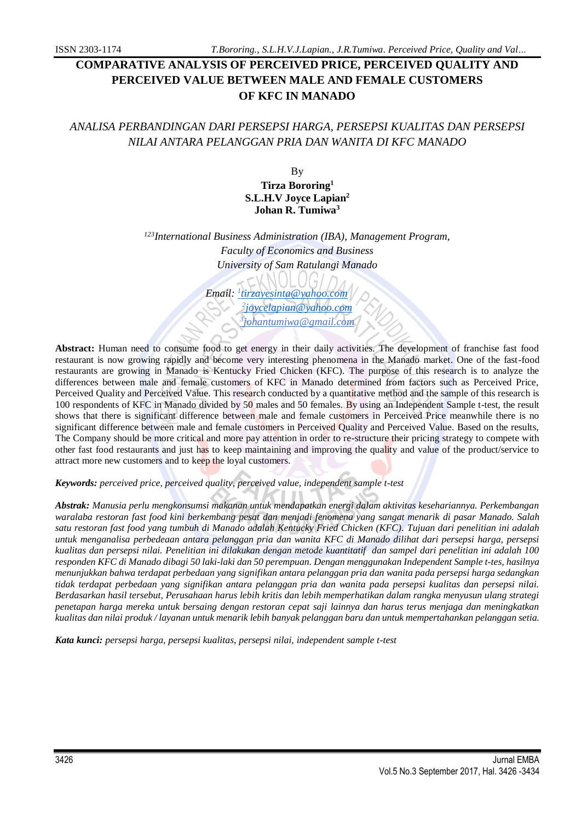# **COMPARATIVE ANALYSIS OF PERCEIVED PRICE, PERCEIVED QUALITY AND PERCEIVED VALUE BETWEEN MALE AND FEMALE CUSTOMERS OF KFC IN MANADO**

# *ANALISA PERBANDINGAN DARI PERSEPSI HARGA, PERSEPSI KUALITAS DAN PERSEPSI NILAI ANTARA PELANGGAN PRIA DAN WANITA DI KFC MANADO*

By **Tirza Bororing<sup>1</sup> S.L.H.V Joyce Lapian<sup>2</sup> Johan R. Tumiwa<sup>3</sup>**

*<sup>123</sup>International Business Administration (IBA), Management Program, Faculty of Economics and Business University of Sam Ratulangi Manado*

 *Email: <sup>1</sup> [tirzayesinta@yahoo.com](mailto:tirzayesinta@yahoo.com) 2 [joycelapian@yahoo.com](mailto:joycelapian@yahoo.com) 3 johantumiwa@gmail.com*

**Abstract:** Human need to consume food to get energy in their daily activities. The development of franchise fast food restaurant is now growing rapidly and become very interesting phenomena in the Manado market. One of the fast-food restaurants are growing in Manado is Kentucky Fried Chicken (KFC). The purpose of this research is to analyze the differences between male and female customers of KFC in Manado determined from factors such as Perceived Price, Perceived Quality and Perceived Value. This research conducted by a quantitative method and the sample of this research is 100 respondents of KFC in Manado divided by 50 males and 50 females. By using an Independent Sample t-test, the result shows that there is significant difference between male and female customers in Perceived Price meanwhile there is no significant difference between male and female customers in Perceived Quality and Perceived Value. Based on the results, The Company should be more critical and more pay attention in order to re-structure their pricing strategy to compete with other fast food restaurants and just has to keep maintaining and improving the quality and value of the product/service to attract more new customers and to keep the loyal customers.

*Keywords: perceived price, perceived quality, perceived value, independent sample t-test*

*Abstrak: Manusia perlu mengkonsumsi makanan untuk mendapatkan energi dalam aktivitas kesehariannya. Perkembangan waralaba restoran fast food kini berkembang pesat dan menjadi fenomena yang sangat menarik di pasar Manado. Salah satu restoran fast food yang tumbuh di Manado adalah Kentucky Fried Chicken (KFC). Tujuan dari penelitian ini adalah untuk menganalisa perbedeaan antara pelanggan pria dan wanita KFC di Manado dilihat dari persepsi harga, persepsi kualitas dan persepsi nilai. Penelitian ini dilakukan dengan metode kuantitatif dan sampel dari penelitian ini adalah 100 responden KFC di Manado dibagi 50 laki-laki dan 50 perempuan. Dengan menggunakan Independent Sample t-tes, hasilnya menunjukkan bahwa terdapat perbedaan yang signifikan antara pelanggan pria dan wanita pada persepsi harga sedangkan tidak terdapat perbedaan yang signifikan antara pelanggan pria dan wanita pada persepsi kualitas dan persepsi nilai. Berdasarkan hasil tersebut, Perusahaan harus lebih kritis dan lebih memperhatikan dalam rangka menyusun ulang strategi penetapan harga mereka untuk bersaing dengan restoran cepat saji lainnya dan harus terus menjaga dan meningkatkan kualitas dan nilai produk / layanan untuk menarik lebih banyak pelanggan baru dan untuk mempertahankan pelanggan setia.*

*Kata kunci: persepsi harga, persepsi kualitas, persepsi nilai, independent sample t-test*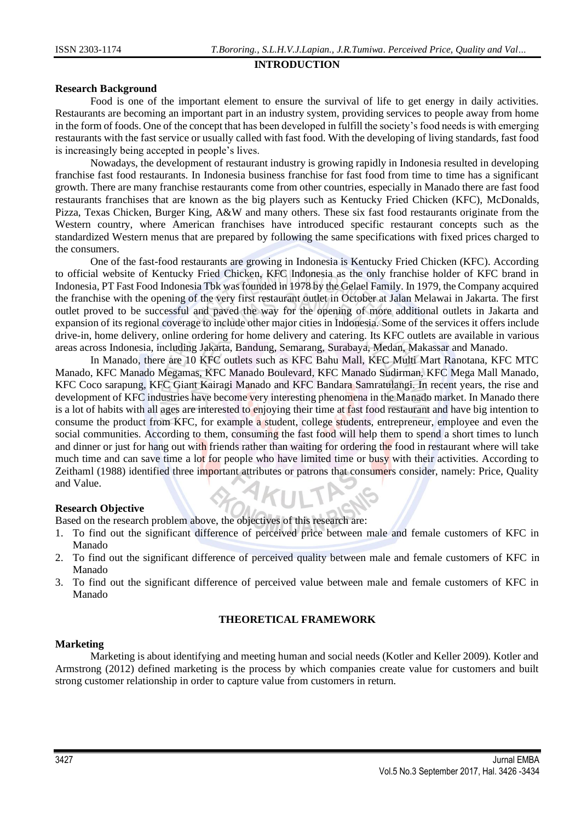### **INTRODUCTION**

### **Research Background**

Food is one of the important element to ensure the survival of life to get energy in daily activities. Restaurants are becoming an important part in an industry system, providing services to people away from home in the form of foods. One of the concept that has been developed in fulfill the society's food needs is with emerging restaurants with the fast service or usually called with fast food. With the developing of living standards, fast food is increasingly being accepted in people's lives.

Nowadays, the development of restaurant industry is growing rapidly in Indonesia resulted in developing franchise fast food restaurants. In Indonesia business franchise for fast food from time to time has a significant growth. There are many franchise restaurants come from other countries, especially in Manado there are fast food restaurants franchises that are known as the big players such as Kentucky Fried Chicken (KFC), McDonalds, Pizza, Texas Chicken, Burger King, A&W and many others. These six fast food restaurants originate from the Western country, where American franchises have introduced specific restaurant concepts such as the standardized Western menus that are prepared by following the same specifications with fixed prices charged to the consumers.

One of the fast-food restaurants are growing in Indonesia is Kentucky Fried Chicken (KFC). According to official website of Kentucky Fried Chicken, KFC Indonesia as the only franchise holder of KFC brand in Indonesia, PT Fast Food Indonesia Tbk was founded in 1978 by the Gelael Family. In 1979, the Company acquired the franchise with the opening of the very first restaurant outlet in October at Jalan Melawai in Jakarta. The first outlet proved to be successful and paved the way for the opening of more additional outlets in Jakarta and expansion of its regional coverage to include other major cities in Indonesia. Some of the services it offers include drive-in, home delivery, online ordering for home delivery and catering. Its KFC outlets are available in various areas across Indonesia, including Jakarta, Bandung, Semarang, Surabaya, Medan, Makassar and Manado.

In Manado, there are 10 KFC outlets such as KFC Bahu Mall, KFC Multi Mart Ranotana, KFC MTC Manado, KFC Manado Megamas, KFC Manado Boulevard, KFC Manado Sudirman, KFC Mega Mall Manado, KFC Coco sarapung, KFC Giant Kairagi Manado and KFC Bandara Samratulangi. In recent years, the rise and development of KFC industries have become very interesting phenomena in the Manado market. In Manado there is a lot of habits with all ages are interested to enjoying their time at fast food restaurant and have big intention to consume the product from KFC, for example a student, college students, entrepreneur, employee and even the social communities. According to them, consuming the fast food will help them to spend a short times to lunch and dinner or just for hang out with friends rather than waiting for ordering the food in restaurant where will take much time and can save time a lot for people who have limited time or busy with their activities. According to Zeithaml (1988) identified three important attributes or patrons that consumers consider, namely: Price, Quality and Value.

### **Research Objective**

Based on the research problem above, the objectives of this research are:

- 1. To find out the significant difference of perceived price between male and female customers of KFC in Manado
- 2. To find out the significant difference of perceived quality between male and female customers of KFC in Manado
- 3. To find out the significant difference of perceived value between male and female customers of KFC in Manado

### **THEORETICAL FRAMEWORK**

### **Marketing**

Marketing is about identifying and meeting human and social needs (Kotler and Keller 2009). Kotler and Armstrong (2012) defined marketing is the process by which companies create value for customers and built strong customer relationship in order to capture value from customers in return.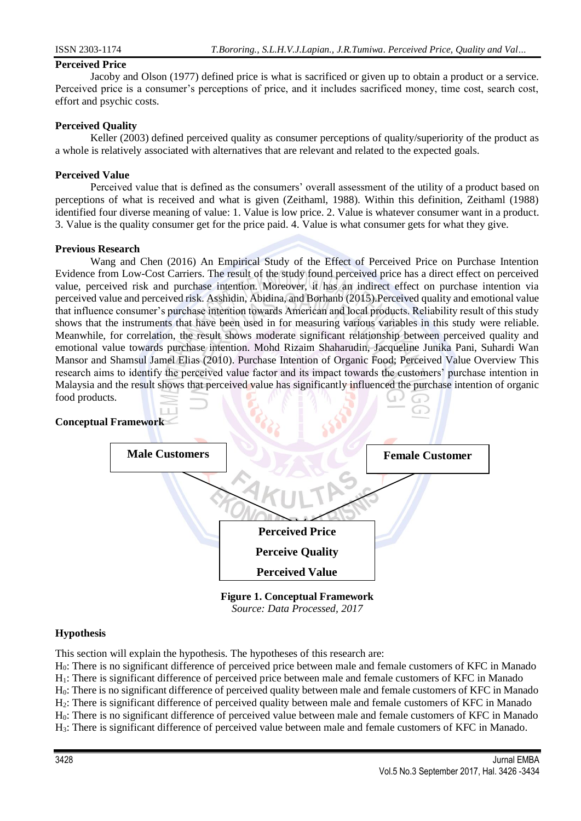### **Perceived Price**

Jacoby and Olson (1977) defined price is what is sacrificed or given up to obtain a product or a service. Perceived price is a consumer's perceptions of price, and it includes sacrificed money, time cost, search cost, effort and psychic costs.

### **Perceived Quality**

Keller (2003) defined perceived quality as consumer perceptions of quality/superiority of the product as a whole is relatively associated with alternatives that are relevant and related to the expected goals.

### **Perceived Value**

Perceived value that is defined as the consumers' overall assessment of the utility of a product based on perceptions of what is received and what is given (Zeithaml, 1988). Within this definition, Zeithaml (1988) identified four diverse meaning of value: 1. Value is low price. 2. Value is whatever consumer want in a product. 3. Value is the quality consumer get for the price paid. 4. Value is what consumer gets for what they give.

### **Previous Research**

Wang and Chen (2016) An Empirical Study of the Effect of Perceived Price on Purchase Intention Evidence from Low-Cost Carriers. The result of the study found perceived price has a direct effect on perceived value, perceived risk and purchase intention. Moreover, it has an indirect effect on purchase intention via perceived value and perceived risk. Asshidin, Abidina, and Borhanb (2015).Perceived quality and emotional value that influence consumer's purchase intention towards American and local products. Reliability result of this study shows that the instruments that have been used in for measuring various variables in this study were reliable. Meanwhile, for correlation, the result shows moderate significant relationship between perceived quality and emotional value towards purchase intention. Mohd Rizaim Shaharudin, Jacqueline Junika Pani, Suhardi Wan Mansor and Shamsul Jamel Elias (2010). Purchase Intention of Organic Food; Perceived Value Overview This research aims to identify the perceived value factor and its impact towards the customers' purchase intention in Malaysia and the result shows that perceived value has significantly influenced the purchase intention of organic food products.

### **Conceptual Framework**



**Figure 1. Conceptual Framework** *Source: Data Processed, 2017*

### **Hypothesis**

This section will explain the hypothesis. The hypotheses of this research are:

H0: There is no significant difference of perceived price between male and female customers of KFC in Manado H<sub>1</sub>: There is significant difference of perceived price between male and female customers of KFC in Manado H0: There is no significant difference of perceived quality between male and female customers of KFC in Manado H2: There is significant difference of perceived quality between male and female customers of KFC in Manado

H0: There is no significant difference of perceived value between male and female customers of KFC in Manado H3: There is significant difference of perceived value between male and female customers of KFC in Manado.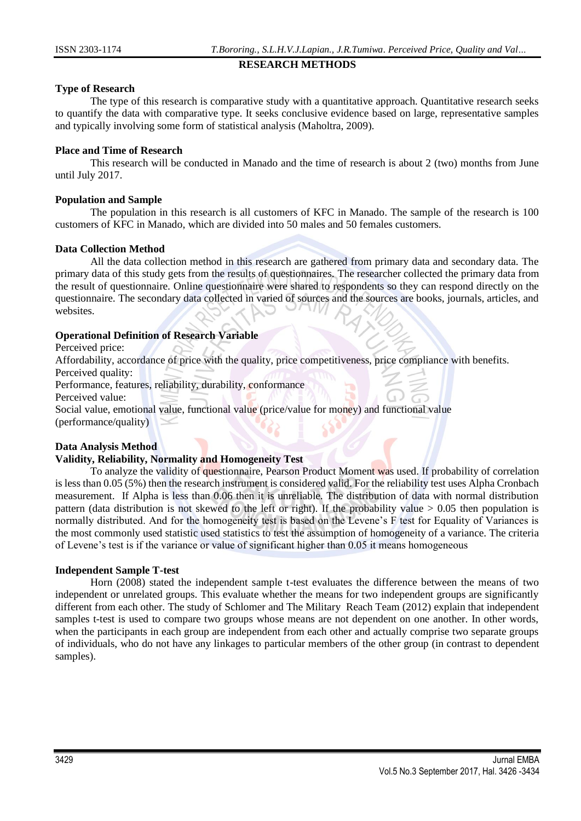### **RESEARCH METHODS**

## **Type of Research**

The type of this research is comparative study with a quantitative approach. Quantitative research seeks to quantify the data with comparative type. It seeks conclusive evidence based on large, representative samples and typically involving some form of statistical analysis (Maholtra, 2009).

## **Place and Time of Research**

This research will be conducted in Manado and the time of research is about 2 (two) months from June until July 2017.

## **Population and Sample**

The population in this research is all customers of KFC in Manado. The sample of the research is 100 customers of KFC in Manado, which are divided into 50 males and 50 females customers.

## **Data Collection Method**

All the data collection method in this research are gathered from primary data and secondary data. The primary data of this study gets from the results of questionnaires. The researcher collected the primary data from the result of questionnaire. Online questionnaire were shared to respondents so they can respond directly on the questionnaire. The secondary data collected in varied of sources and the sources are books, journals, articles, and websites.

## **Operational Definition of Research Variable**

Perceived price:

Affordability, accordance of price with the quality, price competitiveness, price compliance with benefits. Perceived quality:

Performance, features, reliability, durability, conformance

Perceived value:

Social value, emotional value, functional value (price/value for money) and functional value (performance/quality)

## **Data Analysis Method**

### **Validity, Reliability, Normality and Homogeneity Test**

To analyze the validity of questionnaire, Pearson Product Moment was used. If probability of correlation is less than 0.05 (5%) then the research instrument is considered valid. For the reliability test uses Alpha Cronbach measurement. If Alpha is less than 0.06 then it is unreliable. The distribution of data with normal distribution pattern (data distribution is not skewed to the left or right). If the probability value  $> 0.05$  then population is normally distributed. And for the homogeneity test is based on the Levene's F test for Equality of Variances is the most commonly used statistic used statistics to test the assumption of homogeneity of a variance. The criteria of Levene's test is if the variance or value of significant higher than 0.05 it means homogeneous

### **Independent Sample T-test**

Horn (2008) stated the independent sample t-test evaluates the difference between the means of two independent or unrelated groups. This evaluate whether the means for two independent groups are significantly different from each other. The study of Schlomer and The Military Reach Team (2012) explain that independent samples t-test is used to compare two groups whose means are not dependent on one another. In other words, when the participants in each group are independent from each other and actually comprise two separate groups of individuals, who do not have any linkages to particular members of the other group (in contrast to dependent samples).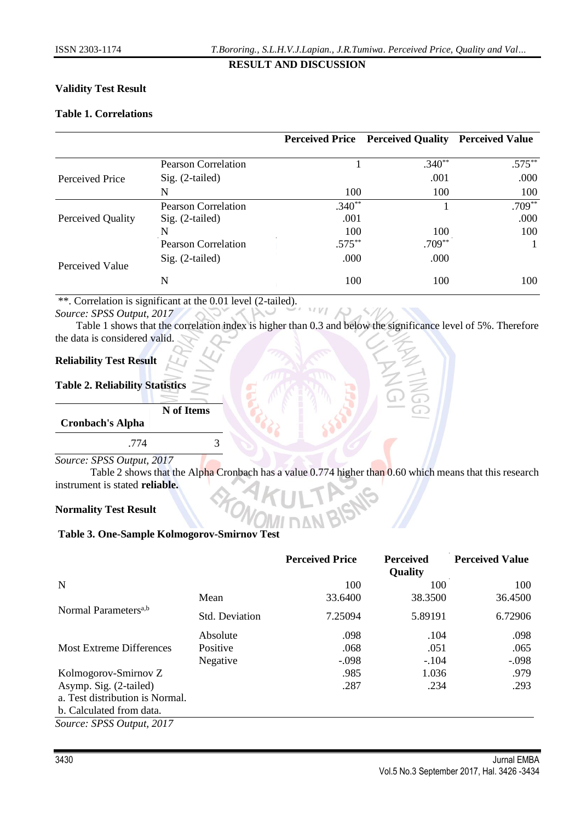## **Validity Test Result**

## **Table 1. Correlations**

|                   |                     |           | Perceived Price Perceived Quality Perceived Value |           |
|-------------------|---------------------|-----------|---------------------------------------------------|-----------|
|                   | Pearson Correlation |           | $.340**$                                          | $.575***$ |
| Perceived Price   | $Sig. (2-tailed)$   |           | .001                                              | .000      |
|                   | N                   | 100       | 100                                               | 100       |
|                   | Pearson Correlation | $.340**$  |                                                   | $.709**$  |
| Perceived Quality | $Sig. (2-tailed)$   | .001      |                                                   | .000      |
|                   | N                   | 100       | 100                                               | 100       |
|                   | Pearson Correlation | $.575***$ | $.709***$                                         |           |
| Perceived Value   | $Sig. (2-tailed)$   | .000      | .000                                              |           |
|                   | N                   | 100       | 100                                               | 100       |

\*\*. Correlation is significant at the 0.01 level (2-tailed).

### *Source: SPSS Output, 2017*

Table 1 shows that the correlation index is higher than 0.3 and below the significance level of 5%. Therefore the data is considered valid.

## **Reliability Test Result**

### **Table 2. Reliability Statistics**

**N of Items**

**Cronbach's Alpha**

.774 3

*Source: SPSS Output, 2017*

Table 2 shows that the Alpha Cronbach has a value 0.774 higher than 0.60 which means that this research instrument is stated **reliable.**

### **Normality Test Result**

## **Table 3. One-Sample Kolmogorov-Smirnov Test**

|                                  |                       | <b>Perceived Price</b> | <b>Perceived</b><br><b>Quality</b> | <b>Perceived Value</b> |
|----------------------------------|-----------------------|------------------------|------------------------------------|------------------------|
| N                                |                       | 100                    | 100                                | 100                    |
|                                  | Mean                  | 33.6400                | 38.3500                            | 36.4500                |
| Normal Parameters <sup>a,b</sup> | <b>Std. Deviation</b> | 7.25094                | 5.89191                            | 6.72906                |
|                                  | Absolute              | .098                   | .104                               | .098                   |
| <b>Most Extreme Differences</b>  | Positive              | .068                   | .051                               | .065                   |
|                                  | Negative              | $-.098$                | $-.104$                            | $-.098$                |
| Kolmogorov-Smirnov Z             |                       | .985                   | 1.036                              | .979                   |
| Asymp. Sig. (2-tailed)           |                       | .287                   | .234                               | .293                   |
| a. Test distribution is Normal.  |                       |                        |                                    |                        |
| b. Calculated from data.         |                       |                        |                                    |                        |
| Source: SPSS Output, 2017        |                       |                        |                                    |                        |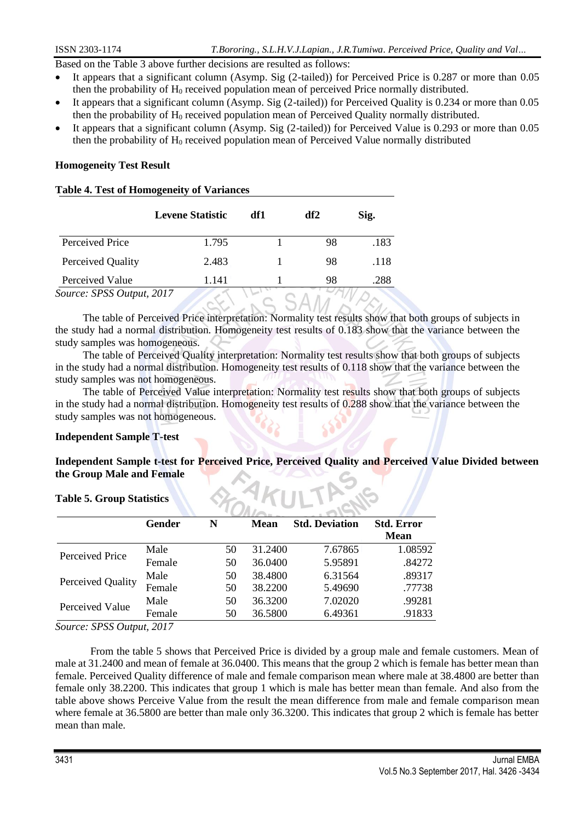Based on the Table 3 above further decisions are resulted as follows:

- It appears that a significant column (Asymp. Sig (2-tailed)) for Perceived Price is 0.287 or more than 0.05 then the probability of  $H_0$  received population mean of perceived Price normally distributed.
- It appears that a significant column (Asymp. Sig (2-tailed)) for Perceived Quality is 0.234 or more than 0.05 then the probability of  $H_0$  received population mean of Perceived Quality normally distributed.
- It appears that a significant column (Asymp. Sig (2-tailed)) for Perceived Value is 0.293 or more than 0.05 then the probability of  $H_0$  received population mean of Perceived Value normally distributed

## **Homogeneity Test Result**

## **Table 4. Test of Homogeneity of Variances**

|                           | <b>Levene Statistic</b> | df1 | df2 | Sig. |
|---------------------------|-------------------------|-----|-----|------|
| Perceived Price           | 1.795                   |     | 98  | .183 |
| Perceived Quality         | 2.483                   |     | 98  | .118 |
| Perceived Value           | 1.141                   |     | 98  | .288 |
| Source: SPSS Output, 2017 |                         |     |     |      |

The table of Perceived Price interpretation: Normality test results show that both groups of subjects in the study had a normal distribution. Homogeneity test results of 0.183 show that the variance between the study samples was homogeneous.

 $OAN$ 

The table of Perceived Quality interpretation: Normality test results show that both groups of subjects in the study had a normal distribution. Homogeneity test results of 0.118 show that the variance between the study samples was not homogeneous.

The table of Perceived Value interpretation: Normality test results show that both groups of subjects in the study had a normal distribution. Homogeneity test results of 0.288 show that the variance between the study samples was not homogeneous.

### **Independent Sample T-test**

## **Independent Sample t-test for Perceived Price, Perceived Quality and Perceived Value Divided between the Group Male and Female**

### **Table 5. Group Statistics**

|                   | <b>Gender</b> | N  | <b>Mean</b> | <b>Std. Deviation</b> | <b>Std. Error</b> |
|-------------------|---------------|----|-------------|-----------------------|-------------------|
|                   |               |    |             |                       | <b>Mean</b>       |
| Perceived Price   | Male          | 50 | 31.2400     | 7.67865               | 1.08592           |
|                   | Female        | 50 | 36.0400     | 5.95891               | .84272            |
| Perceived Quality | Male          | 50 | 38.4800     | 6.31564               | .89317            |
|                   | Female        | 50 | 38.2200     | 5.49690               | .77738            |
|                   | Male          | 50 | 36.3200     | 7.02020               | .99281            |
| Perceived Value   | Female        | 50 | 36.5800     | 6.49361               | .91833            |

*Source: SPSS Output, 2017*

From the table 5 shows that Perceived Price is divided by a group male and female customers. Mean of male at 31.2400 and mean of female at 36.0400. This means that the group 2 which is female has better mean than female. Perceived Quality difference of male and female comparison mean where male at 38.4800 are better than female only 38.2200. This indicates that group 1 which is male has better mean than female. And also from the table above shows Perceive Value from the result the mean difference from male and female comparison mean where female at 36.5800 are better than male only 36.3200. This indicates that group 2 which is female has better mean than male.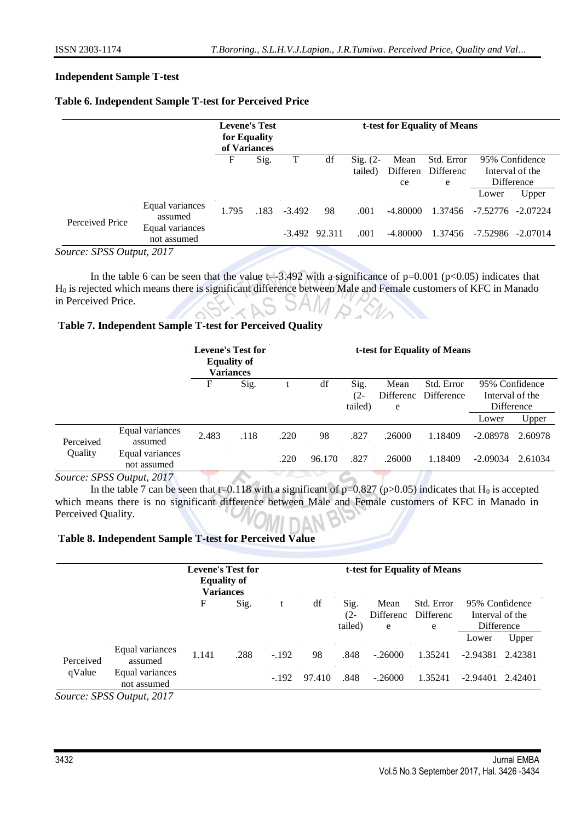### **Independent Sample T-test**

### **Table 6. Independent Sample T-test for Perceived Price**

|                           |                                | <b>Levene's Test</b><br>for Equality<br>of Variances |      |          |                   |                                |                  | t-test for Equality of Means |          |                                   |
|---------------------------|--------------------------------|------------------------------------------------------|------|----------|-------------------|--------------------------------|------------------|------------------------------|----------|-----------------------------------|
|                           |                                | F                                                    | Sig. | T        | df                | $\mathrm{Sig.}$ (2-<br>tailed) | Mean<br>Differen | Std. Error<br>Differenc      |          | 95% Confidence<br>Interval of the |
|                           |                                |                                                      |      |          |                   |                                | ce               | e                            |          | Difference                        |
|                           |                                |                                                      |      |          |                   |                                |                  |                              | Lower    | Upper                             |
| Perceived Price           | Equal variances<br>assumed     | 1.795                                                | .183 | $-3.492$ | 98                | .001                           | -4.80000         | 1.37456                      | -7.52776 | $-2.07224$                        |
|                           | Equal variances<br>not assumed |                                                      |      |          | $-3.492$ $92.311$ | .001                           | -4.80000         | 1.37456                      |          | $-7.52986$ $-2.07014$             |
| Source: SPSS Output, 2017 |                                |                                                      |      |          |                   |                                |                  |                              |          |                                   |

In the table 6 can be seen that the value  $t=3.492$  with a significance of  $p=0.001$  ( $p<0.05$ ) indicates that H<sup>0</sup> is rejected which means there is significant difference between Male and Female customers of KFC in Manado in Perceived Price.

### **Table 7. Independent Sample T-test for Perceived Quality**

|           |                                | <b>Levene's Test for</b><br><b>Equality of</b><br><b>Variances</b> |      |      |        |                        | t-test for Equality of Means |                          |                                                          |         |  |  |
|-----------|--------------------------------|--------------------------------------------------------------------|------|------|--------|------------------------|------------------------------|--------------------------|----------------------------------------------------------|---------|--|--|
|           |                                | F                                                                  | Sig. |      | df     | Sig.<br>(2-<br>tailed) | Mean<br>Differenc<br>e       | Std. Error<br>Difference | 95% Confidence<br>Interval of the<br>Difference<br>Lower | Upper   |  |  |
| Perceived | Equal variances<br>assumed     | 2.483                                                              | .118 | .220 | 98     | .827                   | .26000                       | 1.18409                  | $-2.08978$                                               | 2.60978 |  |  |
| Quality   | Equal variances<br>not assumed |                                                                    |      | .220 | 96.170 | .827                   | .26000                       | 1.18409                  | $-2.09034$                                               | 2.61034 |  |  |
|           | Source: SPSS Output, 2017      |                                                                    |      |      |        |                        |                              |                          |                                                          |         |  |  |

In the table 7 can be seen that t=0.118 with a significant of  $p=0.827$  ( $p>0.05$ ) indicates that H<sub>0</sub> is accepted which means there is no significant difference between Male and Female customers of KFC in Manado in Perceived Quality.

#### **Table 8. Independent Sample T-test for Perceived Value**

|           |                                |       | <b>Levene's Test for</b><br><b>Equality of</b><br><b>Variances</b> |         |        |                        |                        | t-test for Equality of Means |                                                 |         |
|-----------|--------------------------------|-------|--------------------------------------------------------------------|---------|--------|------------------------|------------------------|------------------------------|-------------------------------------------------|---------|
|           |                                | F     | Sig.                                                               |         | df     | Sig.<br>(2-<br>tailed) | Mean<br>Differenc<br>e | Std. Error<br>Differenc<br>e | 95% Confidence<br>Interval of the<br>Difference |         |
|           |                                |       |                                                                    |         |        |                        |                        |                              | Lower                                           | Upper   |
| Perceived | Equal variances<br>assumed     | 1.141 | .288                                                               | $-.192$ | 98     | .848                   | $-.26000$              | 1.35241                      | $-2.94381$                                      | 2.42381 |
| qValue    | Equal variances<br>not assumed |       |                                                                    | $-192$  | 97.410 | .848                   | $-.26000$              | 1.35241                      | $-2.94401$                                      | 2.42401 |

*Source: SPSS Output, 2017*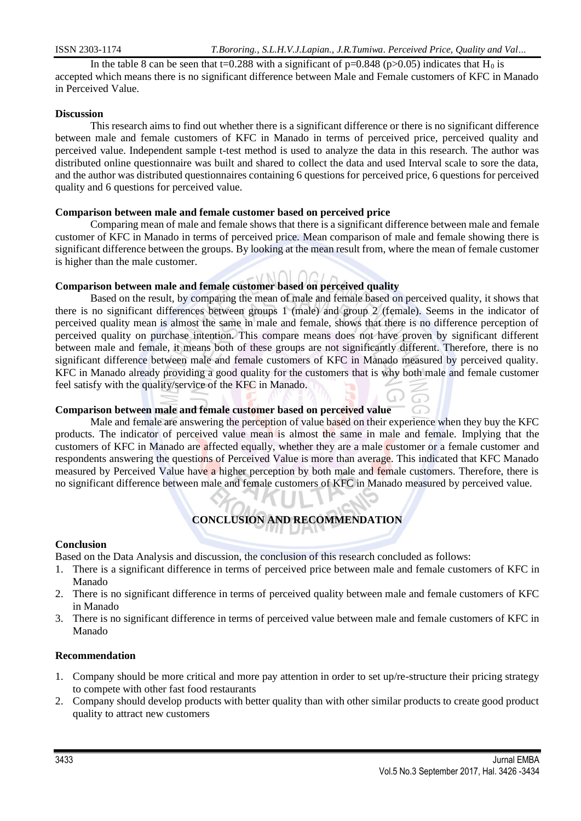In the table 8 can be seen that t=0.288 with a significant of  $p=0.848$  ( $p>0.05$ ) indicates that H<sub>0</sub> is accepted which means there is no significant difference between Male and Female customers of KFC in Manado in Perceived Value.

### **Discussion**

This research aims to find out whether there is a significant difference or there is no significant difference between male and female customers of KFC in Manado in terms of perceived price, perceived quality and perceived value. Independent sample t-test method is used to analyze the data in this research. The author was distributed online questionnaire was built and shared to collect the data and used Interval scale to sore the data, and the author was distributed questionnaires containing 6 questions for perceived price, 6 questions for perceived quality and 6 questions for perceived value.

### **Comparison between male and female customer based on perceived price**

Comparing mean of male and female shows that there is a significant difference between male and female customer of KFC in Manado in terms of perceived price. Mean comparison of male and female showing there is significant difference between the groups. By looking at the mean result from, where the mean of female customer is higher than the male customer.

## **Comparison between male and female customer based on perceived quality**

Based on the result, by comparing the mean of male and female based on perceived quality, it shows that there is no significant differences between groups 1 (male) and group 2 (female). Seems in the indicator of perceived quality mean is almost the same in male and female, shows that there is no difference perception of perceived quality on purchase intention. This compare means does not have proven by significant different between male and female, it means both of these groups are not significantly different. Therefore, there is no significant difference between male and female customers of KFC in Manado measured by perceived quality. KFC in Manado already providing a good quality for the customers that is why both male and female customer feel satisfy with the quality/service of the KFC in Manado.

### **Comparison between male and female customer based on perceived value**

Male and female are answering the perception of value based on their experience when they buy the KFC products. The indicator of perceived value mean is almost the same in male and female. Implying that the customers of KFC in Manado are affected equally, whether they are a male customer or a female customer and respondents answering the questions of Perceived Value is more than average. This indicated that KFC Manado measured by Perceived Value have a higher perception by both male and female customers. Therefore, there is no significant difference between male and female customers of KFC in Manado measured by perceived value.

## **CONCLUSION AND RECOMMENDATION**

### **Conclusion**

Based on the Data Analysis and discussion, the conclusion of this research concluded as follows:

- 1. There is a significant difference in terms of perceived price between male and female customers of KFC in Manado
- 2. There is no significant difference in terms of perceived quality between male and female customers of KFC in Manado
- 3. There is no significant difference in terms of perceived value between male and female customers of KFC in Manado

### **Recommendation**

- 1. Company should be more critical and more pay attention in order to set up/re-structure their pricing strategy to compete with other fast food restaurants
- 2. Company should develop products with better quality than with other similar products to create good product quality to attract new customers